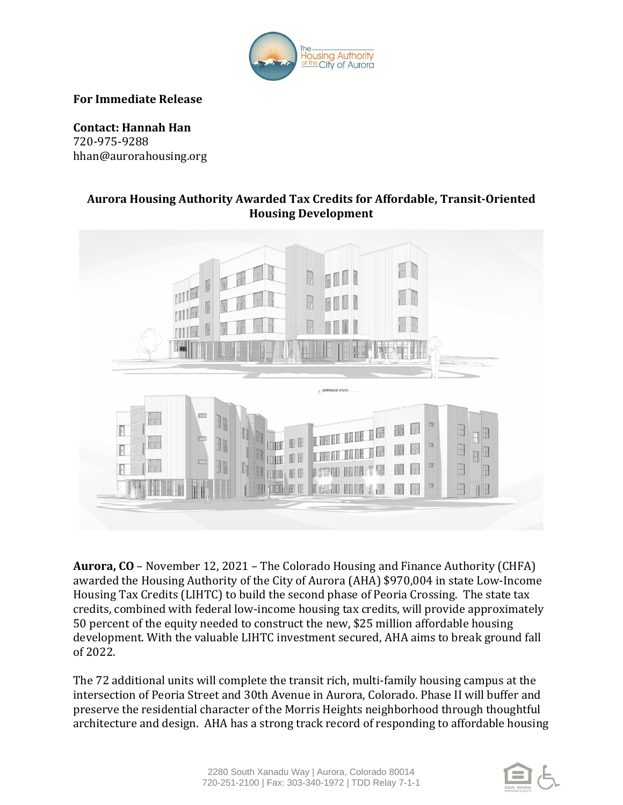

**For Immediate Release**

**Contact: Hannah Han** 720-975-9288 hhan@aurorahousing.org

## **Aurora Housing Authority Awarded Tax Credits for Affordable, Transit-Oriented Housing Development**



**Aurora, CO** – November 12, 2021 – The Colorado Housing and Finance Authority (CHFA) awarded the Housing Authority of the City of Aurora (AHA) \$970,004 in state Low-Income Housing Tax Credits (LIHTC) to build the second phase of Peoria Crossing. The state tax credits, combined with federal low-income housing tax credits, will provide approximately 50 percent of the equity needed to construct the new, \$25 million affordable housing development. With the valuable LIHTC investment secured, AHA aims to break ground fall of 2022.

The 72 additional units will complete the transit rich, multi-family housing campus at the intersection of Peoria Street and 30th Avenue in Aurora, Colorado. Phase II will buffer and preserve the residential character of the Morris Heights neighborhood through thoughtful architecture and design. AHA has a strong track record of responding to affordable housing